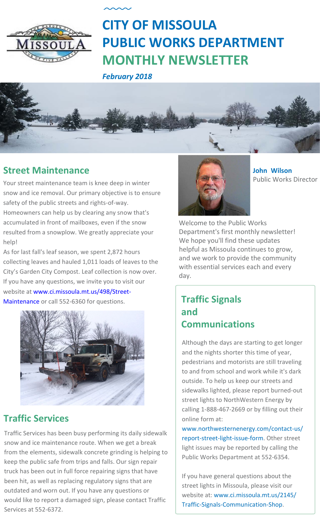

# **CITY OF MISSOULA PUBLIC WORKS DEPARTMENT MONTHLY NEWSLETTER**

*February 2018*



#### **Street Maintenance**

Your street maintenance team is knee deep in winter snow and ice removal. Our primary objective is to ensure safety of the public streets and rights-of-way. Homeowners can help us by clearing any snow that's accumulated in front of mailboxes, even if the snow resulted from a snowplow. We greatly appreciate your help!

As for last fall's leaf season, we spent 2,872 hours collecting leaves and hauled 1,011 loads of leaves to the City's Garden City Compost. Leaf collection is now over. If you have any questions, we invite you to visit our website at [www.ci.missoula.mt.us/498/Street-](http://www.ci.missoula.mt.us/498/Street-Maintenance)Maintenance or call 552-6360 for questions.



### **Traffic Services**

Traffic Services has been busy performing its daily sidewalk snow and ice maintenance route. When we get a break from the elements, sidewalk concrete grinding is helping to keep the public safe from trips and falls. Our sign repair truck has been out in full force repairing signs that have been hit, as well as replacing regulatory signs that are outdated and worn out. If you have any [questions](http://www.ci.missoula.mt.us/2145/Traffic-Signals-Communication-Shop) or would like to report a damaged sign, please contact Traffic Services at 552-6372.



**Jo[hn Wilson](mailto:jwilson@ci.missoula.mt.us)**  Public Works Director

Welcome to the Public Works Department's first monthly newsletter! We hope you'll find these updates helpful as Missoula continues to grow, and we work to provide the community with essential services each and every day.

#### **Traffic Signals and Communications**

Although the days are starting to get longer and the nights shorter this time of year, pedestrians and motorists are still traveling to and from school and work while it's dark outside. To help us keep our streets and sidewalks lighted, please report burned-out street lights to NorthWestern Energy by calling 1-888-467-2669 or by filling out their online form at:

www.northwesternenergy.com/contact-us/ r[eport-street-light-issue-form. Other street](https://www.northwesternenergy.com/contact-us/report-street-light-issue-form)  [light issues may be reported by calling the](https://www.northwesternenergy.com/contact-us/report-street-light-issue-form)  Public Works Department at 552-6354.

If you have general questions about the street lights in Missoula, please visit our website at: www.ci.missoula.mt.us/2145/ [Traffic-Signals-Communication-Shop.](http://www.ci.missoula.mt.us/2145/Traffic-Signals-Communication-Shop)